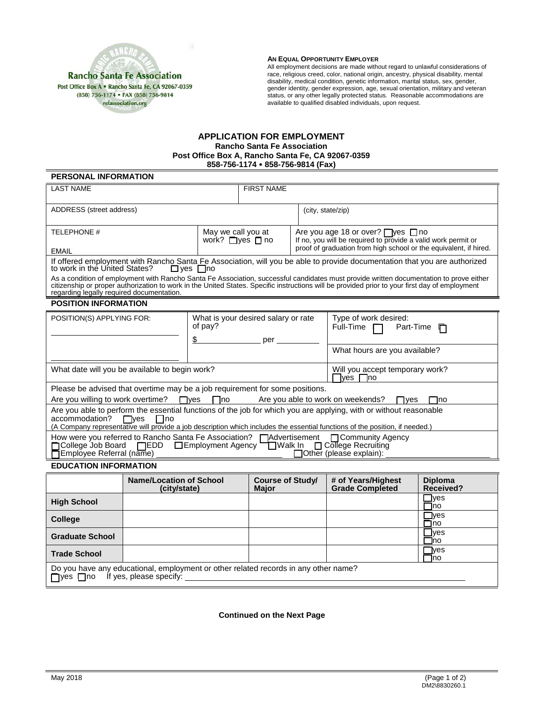

#### **AN EQUAL OPPORTUNITY EMPLOYER**

All employment decisions are made without regard to unlawful considerations of race, religious creed, color, national origin, ancestry, physical disability, mental disability, medical condition, genetic information, marital status, sex, gender, gender identity, gender expression, age, sexual orientation, military and veteran status, or any other legally protected status. Reasonable accommodations are available to qualified disabled individuals, upon request.

## **APPLICATION FOR EMPLOYMENT Rancho Santa Fe Association Post Office Box A, Rancho Santa Fe, CA 92067-0359 858-756-1174 858-756-9814 (Fax)**

# **PERSONAL INFORMATION**

| <b>LAST NAME</b>                                                                                                                                                                                                                                                                                                                       |                                                  | <b>FIRST NAME</b>                          |                                                                                                               |                                                                   |  |  |
|----------------------------------------------------------------------------------------------------------------------------------------------------------------------------------------------------------------------------------------------------------------------------------------------------------------------------------------|--------------------------------------------------|--------------------------------------------|---------------------------------------------------------------------------------------------------------------|-------------------------------------------------------------------|--|--|
| ADDRESS (street address)                                                                                                                                                                                                                                                                                                               |                                                  |                                            | (city, state/zip)                                                                                             |                                                                   |  |  |
| <b>TELEPHONE #</b>                                                                                                                                                                                                                                                                                                                     | May we call you at<br>work? $\Box$ ves $\Box$ no |                                            | Are you age 18 or over? $\Box$ yes $\Box$ no<br>If no, you will be required to provide a valid work permit or |                                                                   |  |  |
| <b>EMAIL</b>                                                                                                                                                                                                                                                                                                                           |                                                  |                                            |                                                                                                               | proof of graduation from high school or the equivalent, if hired. |  |  |
| If offered employment with Rancho Santa Fe Association, will you be able to provide documentation that you are authorized<br>to work in the United States?<br>$\Box$ ves $\Box$ no                                                                                                                                                     |                                                  |                                            |                                                                                                               |                                                                   |  |  |
| As a condition of employment with Rancho Santa Fe Association, successful candidates must provide written documentation to prove either<br>citizenship or proper authorization to work in the United States. Specific instructions will be provided prior to your first day of employment<br>regarding legally required documentation. |                                                  |                                            |                                                                                                               |                                                                   |  |  |
| <b>POSITION INFORMATION</b>                                                                                                                                                                                                                                                                                                            |                                                  |                                            |                                                                                                               |                                                                   |  |  |
| POSITION(S) APPLYING FOR:                                                                                                                                                                                                                                                                                                              | of pay?<br>\$                                    | What is your desired salary or rate<br>per |                                                                                                               | Type of work desired:<br>Full-Time $\Box$<br>Part-Time<br>Л       |  |  |
|                                                                                                                                                                                                                                                                                                                                        |                                                  |                                            |                                                                                                               | What hours are you available?                                     |  |  |
| What date will you be available to begin work?                                                                                                                                                                                                                                                                                         |                                                  |                                            |                                                                                                               | Will you accept temporary work?<br>lves.<br>lno.                  |  |  |
| Please be advised that overtime may be a job requirement for some positions.                                                                                                                                                                                                                                                           |                                                  |                                            |                                                                                                               |                                                                   |  |  |
| Are you willing to work overtime? ■ yes ■ no<br>Are you able to work on weekends?<br>$\Box$ ves<br>□no                                                                                                                                                                                                                                 |                                                  |                                            |                                                                                                               |                                                                   |  |  |
| Are you able to perform the essential functions of the job for which you are applying, with or without reasonable<br>accommodation?<br>$\Box$ ves<br>l Ino<br>(A Company representative will provide a job description which includes the essential functions of the position, if needed.)                                             |                                                  |                                            |                                                                                                               |                                                                   |  |  |
| How were you referred to Rancho Santa Fe Association? □ Advertisement<br>□ Community Agency<br>□ College Job Board □ EDD □ Employment Agency □ Walk In<br>$\Box$ College Recruiting<br>Employee Referral (name) _<br>□ Other (please explain):                                                                                         |                                                  |                                            |                                                                                                               |                                                                   |  |  |
| EDUCATION INFORMATION                                                                                                                                                                                                                                                                                                                  |                                                  |                                            |                                                                                                               |                                                                   |  |  |

#### **EDUCATION INFORMATION**

|                                                                                                                                            | <b>Name/Location of School</b><br>(city/state) | <b>Course of Study/</b><br><b>Major</b> | # of Years/Highest<br><b>Grade Completed</b> | <b>Diploma</b><br>Received? |  |
|--------------------------------------------------------------------------------------------------------------------------------------------|------------------------------------------------|-----------------------------------------|----------------------------------------------|-----------------------------|--|
| <b>High School</b>                                                                                                                         |                                                |                                         |                                              | $\exists$ yes<br>⊣no        |  |
| <b>College</b>                                                                                                                             |                                                |                                         |                                              | $\Box$ yes<br>$\Box$ no     |  |
| <b>Graduate School</b>                                                                                                                     |                                                |                                         |                                              | $\lrcorner$ ves<br>⊣no      |  |
| <b>Trade School</b>                                                                                                                        |                                                |                                         |                                              | $\neg$ ves<br>⊣no           |  |
| Do you have any educational, employment or other related records in any other name?<br>$\Box$ yes $\Box$ no If yes, please specify: $\Box$ |                                                |                                         |                                              |                             |  |

## **Continued on the Next Page**